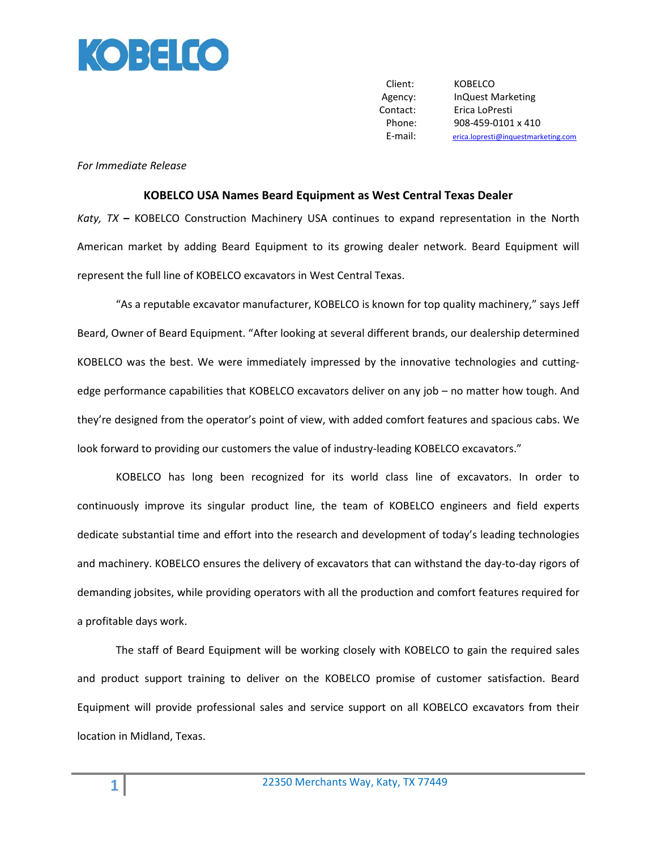

Client: KOBELCO Agency: InQuest Marketing Contact: Erica LoPresti Phone: 908-459-0101 x 410 E-mail: [erica.lopresti@inquestmarketing.com](mailto:erica.lopresti@inquestmarketing.com)

## *For Immediate Release*

## **KOBELCO USA Names Beard Equipment as West Central Texas Dealer**

*Katy, TX* **–** KOBELCO Construction Machinery USA continues to expand representation in the North American market by adding Beard Equipment to its growing dealer network. Beard Equipment will represent the full line of KOBELCO excavators in West Central Texas.

"As a reputable excavator manufacturer, KOBELCO is known for top quality machinery," says Jeff Beard, Owner of Beard Equipment. "After looking at several different brands, our dealership determined KOBELCO was the best. We were immediately impressed by the innovative technologies and cuttingedge performance capabilities that KOBELCO excavators deliver on any job – no matter how tough. And they're designed from the operator's point of view, with added comfort features and spacious cabs. We look forward to providing our customers the value of industry-leading KOBELCO excavators."

KOBELCO has long been recognized for its world class line of excavators. In order to continuously improve its singular product line, the team of KOBELCO engineers and field experts dedicate substantial time and effort into the research and development of today's leading technologies and machinery. KOBELCO ensures the delivery of excavators that can withstand the day-to-day rigors of demanding jobsites, while providing operators with all the production and comfort features required for a profitable days work.

The staff of Beard Equipment will be working closely with KOBELCO to gain the required sales and product support training to deliver on the KOBELCO promise of customer satisfaction. Beard Equipment will provide professional sales and service support on all KOBELCO excavators from their location in Midland, Texas.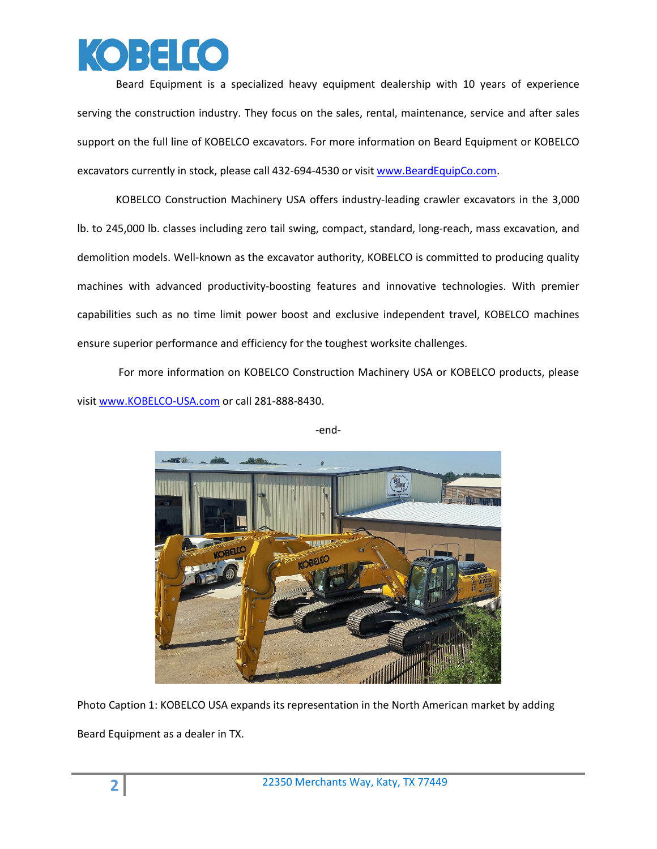

Beard Equipment is a specialized heavy equipment dealership with 10 years of experience serving the construction industry. They focus on the sales, rental, maintenance, service and after sales support on the full line of KOBELCO excavators. For more information on Beard Equipment or KOBELCO excavators currently in stock, please call 432-694-4530 or visit [www.BeardEquipCo.com.](http://www.beardequipco.com/)

KOBELCO Construction Machinery USA offers industry-leading crawler excavators in the 3,000 lb. to 245,000 lb. classes including zero tail swing, compact, standard, long-reach, mass excavation, and demolition models. Well-known as the excavator authority, KOBELCO is committed to producing quality machines with advanced productivity-boosting features and innovative technologies. With premier capabilities such as no time limit power boost and exclusive independent travel, KOBELCO machines ensure superior performance and efficiency for the toughest worksite challenges.

For more information on KOBELCO Construction Machinery USA or KOBELCO products, please visi[t www.KOBELCO-USA.com](http://www.kobelco-usa.com/) or call 281-888-8430.



-end-

Photo Caption 1: KOBELCO USA expands its representation in the North American market by adding Beard Equipment as a dealer in TX.